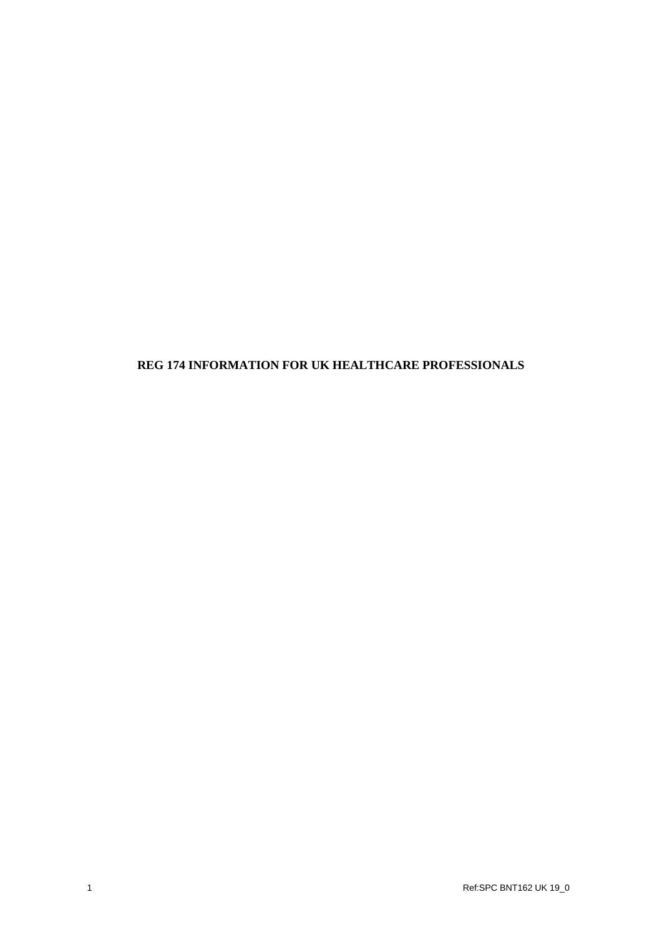## **REG 174 INFORMATION FOR UK HEALTHCARE PROFESSIONALS**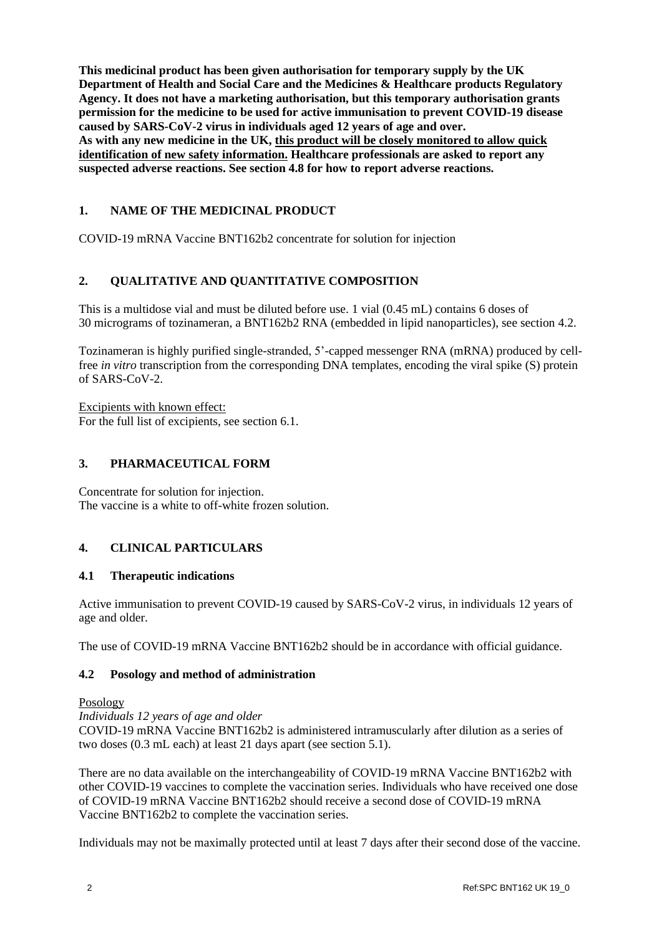**This medicinal product has been given authorisation for temporary supply by the UK Department of Health and Social Care and the Medicines & Healthcare products Regulatory Agency. It does not have a marketing authorisation, but this temporary authorisation grants permission for the medicine to be used for active immunisation to prevent COVID-19 disease caused by SARS-CoV-2 virus in individuals aged 12 years of age and over. As with any new medicine in the UK, this product will be closely monitored to allow quick identification of new safety information. Healthcare professionals are asked to report any suspected adverse reactions. See section 4.8 for how to report adverse reactions.**

# **1. NAME OF THE MEDICINAL PRODUCT**

COVID-19 mRNA Vaccine BNT162b2 concentrate for solution for injection

# **2. QUALITATIVE AND QUANTITATIVE COMPOSITION**

This is a multidose vial and must be diluted before use. 1 vial (0.45 mL) contains 6 doses of 30 micrograms of tozinameran, a BNT162b2 RNA (embedded in lipid nanoparticles), see section 4.2.

Tozinameran is highly purified single-stranded, 5'-capped messenger RNA (mRNA) produced by cellfree *in vitro* transcription from the corresponding DNA templates, encoding the viral spike (S) protein of SARS-CoV-2.

Excipients with known effect: For the full list of excipients, see section 6.1.

### **3. PHARMACEUTICAL FORM**

Concentrate for solution for injection. The vaccine is a white to off-white frozen solution.

## **4. CLINICAL PARTICULARS**

#### **4.1 Therapeutic indications**

Active immunisation to prevent COVID-19 caused by SARS-CoV-2 virus, in individuals 12 years of age and older.

The use of COVID-19 mRNA Vaccine BNT162b2 should be in accordance with official guidance.

#### **4.2 Posology and method of administration**

#### Posology

*Individuals 12 years of age and older* COVID-19 mRNA Vaccine BNT162b2 is administered intramuscularly after dilution as a series of two doses (0.3 mL each) at least 21 days apart (see section 5.1).

There are no data available on the interchangeability of COVID-19 mRNA Vaccine BNT162b2 with other COVID-19 vaccines to complete the vaccination series. Individuals who have received one dose of COVID-19 mRNA Vaccine BNT162b2 should receive a second dose of COVID-19 mRNA Vaccine BNT162b2 to complete the vaccination series.

Individuals may not be maximally protected until at least 7 days after their second dose of the vaccine.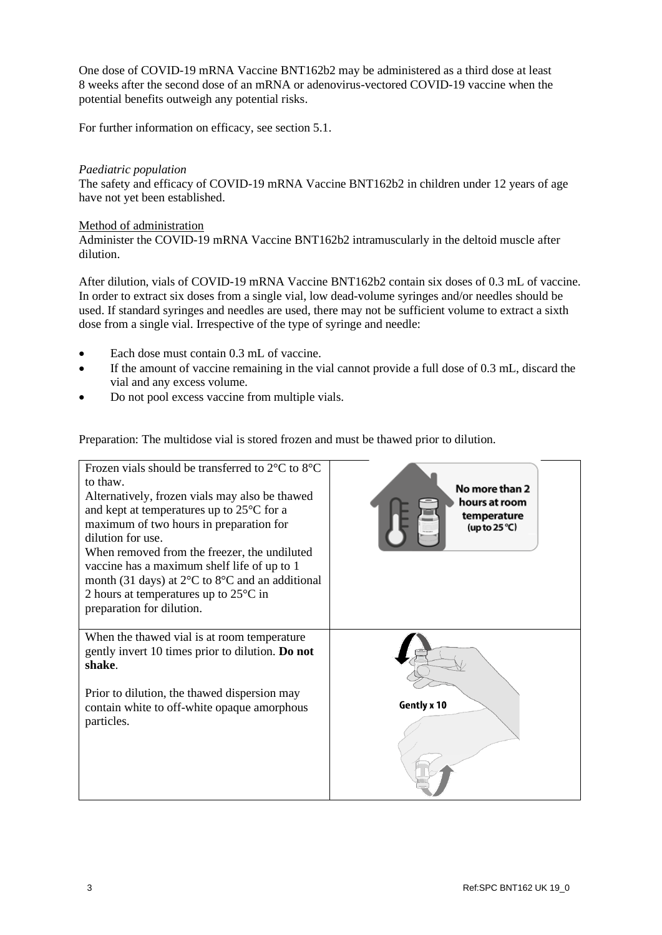One dose of COVID-19 mRNA Vaccine BNT162b2 may be administered as a third dose at least 8 weeks after the second dose of an mRNA or adenovirus-vectored COVID-19 vaccine when the potential benefits outweigh any potential risks.

For further information on efficacy, see section 5.1.

#### *Paediatric population*

The safety and efficacy of COVID-19 mRNA Vaccine BNT162b2 in children under 12 years of age have not yet been established.

#### Method of administration

Administer the COVID-19 mRNA Vaccine BNT162b2 intramuscularly in the deltoid muscle after dilution.

After dilution, vials of COVID-19 mRNA Vaccine BNT162b2 contain six doses of 0.3 mL of vaccine. In order to extract six doses from a single vial, low dead-volume syringes and/or needles should be used. If standard syringes and needles are used, there may not be sufficient volume to extract a sixth dose from a single vial. Irrespective of the type of syringe and needle:

- Each dose must contain 0.3 mL of vaccine.
- If the amount of vaccine remaining in the vial cannot provide a full dose of 0.3 mL, discard the vial and any excess volume.
- Do not pool excess vaccine from multiple vials.

Preparation: The multidose vial is stored frozen and must be thawed prior to dilution.

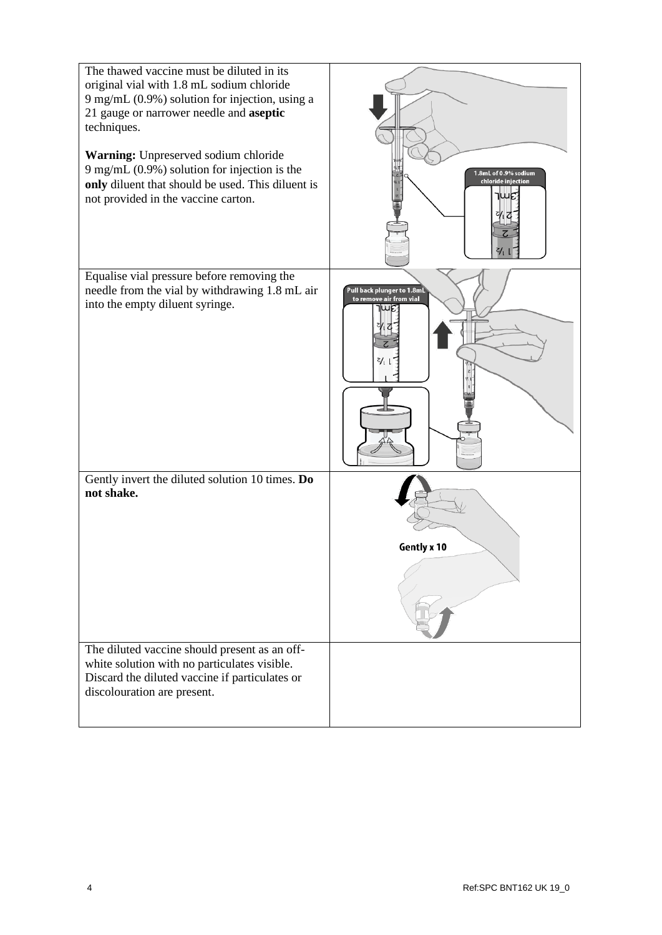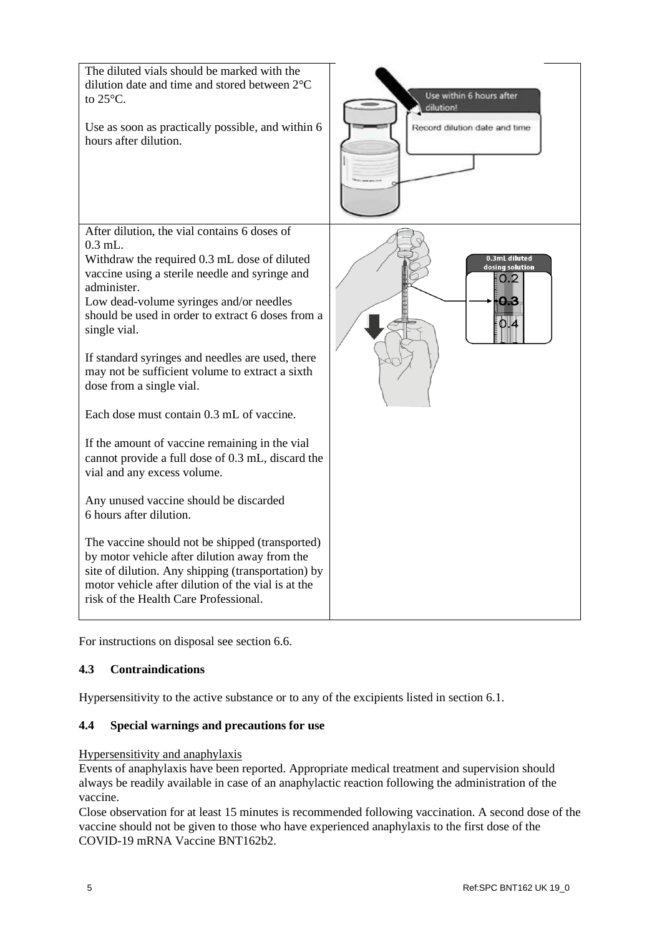

For instructions on disposal see section 6.6.

## **4.3 Contraindications**

Hypersensitivity to the active substance or to any of the excipients listed in section 6.1.

## **4.4 Special warnings and precautions for use**

#### Hypersensitivity and anaphylaxis

Events of anaphylaxis have been reported. Appropriate medical treatment and supervision should always be readily available in case of an anaphylactic reaction following the administration of the vaccine.

Close observation for at least 15 minutes is recommended following vaccination. A second dose of the vaccine should not be given to those who have experienced anaphylaxis to the first dose of the COVID-19 mRNA Vaccine BNT162b2.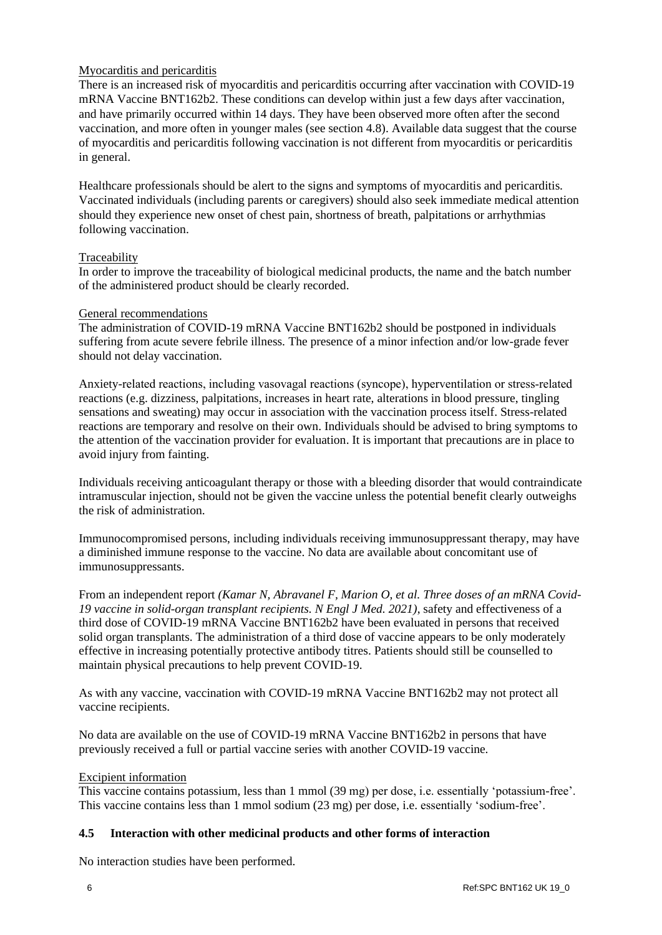## Myocarditis and pericarditis

There is an increased risk of myocarditis and pericarditis occurring after vaccination with COVID-19 mRNA Vaccine BNT162b2. These conditions can develop within just a few days after vaccination, and have primarily occurred within 14 days. They have been observed more often after the second vaccination, and more often in younger males (see section 4.8). Available data suggest that the course of myocarditis and pericarditis following vaccination is not different from myocarditis or pericarditis in general.

Healthcare professionals should be alert to the signs and symptoms of myocarditis and pericarditis. Vaccinated individuals (including parents or caregivers) should also seek immediate medical attention should they experience new onset of chest pain, shortness of breath, palpitations or arrhythmias following vaccination.

### Traceability

In order to improve the traceability of biological medicinal products, the name and the batch number of the administered product should be clearly recorded.

#### General recommendations

The administration of COVID-19 mRNA Vaccine BNT162b2 should be postponed in individuals suffering from acute severe febrile illness. The presence of a minor infection and/or low-grade fever should not delay vaccination.

Anxiety-related reactions, including vasovagal reactions (syncope), hyperventilation or stress-related reactions (e.g. dizziness, palpitations, increases in heart rate, alterations in blood pressure, tingling sensations and sweating) may occur in association with the vaccination process itself. Stress-related reactions are temporary and resolve on their own. Individuals should be advised to bring symptoms to the attention of the vaccination provider for evaluation. It is important that precautions are in place to avoid injury from fainting.

Individuals receiving anticoagulant therapy or those with a bleeding disorder that would contraindicate intramuscular injection, should not be given the vaccine unless the potential benefit clearly outweighs the risk of administration.

Immunocompromised persons, including individuals receiving immunosuppressant therapy, may have a diminished immune response to the vaccine. No data are available about concomitant use of immunosuppressants.

From an independent report *(Kamar N, Abravanel F, Marion O, et al. Three doses of an mRNA Covid-19 vaccine in solid-organ transplant recipients. N Engl J Med. 2021)*, safety and effectiveness of a third dose of COVID-19 mRNA Vaccine BNT162b2 have been evaluated in persons that received solid organ transplants. The administration of a third dose of vaccine appears to be only moderately effective in increasing potentially protective antibody titres. Patients should still be counselled to maintain physical precautions to help prevent COVID-19.

As with any vaccine, vaccination with COVID-19 mRNA Vaccine BNT162b2 may not protect all vaccine recipients.

No data are available on the use of COVID-19 mRNA Vaccine BNT162b2 in persons that have previously received a full or partial vaccine series with another COVID-19 vaccine.

#### Excipient information

This vaccine contains potassium, less than 1 mmol (39 mg) per dose, i.e. essentially 'potassium-free'. This vaccine contains less than 1 mmol sodium (23 mg) per dose, i.e. essentially 'sodium-free'.

## **4.5 Interaction with other medicinal products and other forms of interaction**

No interaction studies have been performed.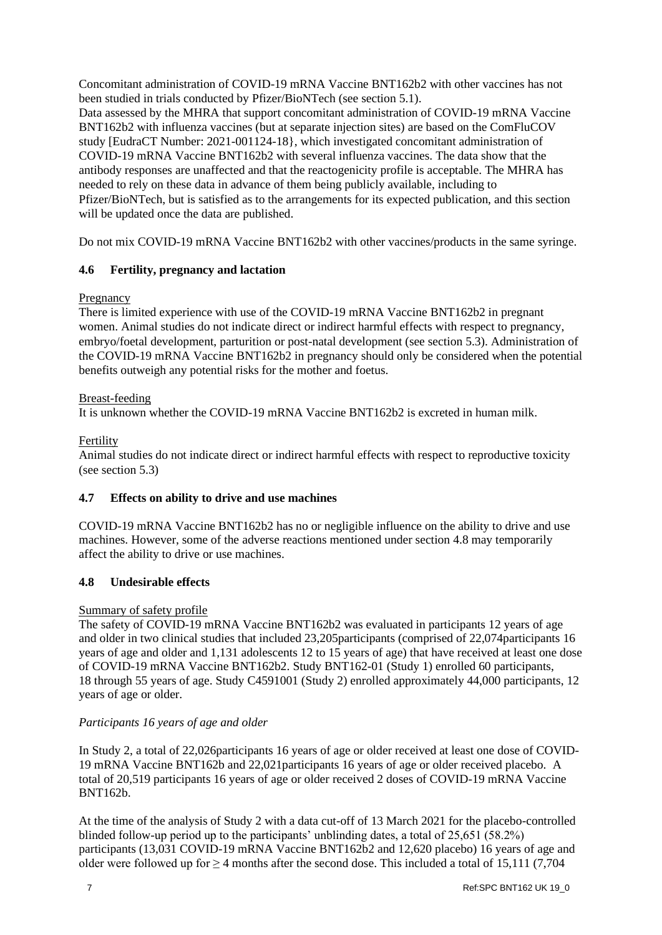Concomitant administration of COVID-19 mRNA Vaccine BNT162b2 with other vaccines has not been studied in trials conducted by Pfizer/BioNTech (see section 5.1). Data assessed by the MHRA that support concomitant administration of COVID-19 mRNA Vaccine BNT162b2 with influenza vaccines (but at separate injection sites) are based on the ComFluCOV study [EudraCT Number: 2021-001124-18}, which investigated concomitant administration of COVID-19 mRNA Vaccine BNT162b2 with several influenza vaccines. The data show that the antibody responses are unaffected and that the reactogenicity profile is acceptable. The MHRA has needed to rely on these data in advance of them being publicly available, including to Pfizer/BioNTech, but is satisfied as to the arrangements for its expected publication, and this section will be updated once the data are published.

Do not mix COVID-19 mRNA Vaccine BNT162b2 with other vaccines/products in the same syringe.

## **4.6 Fertility, pregnancy and lactation**

### Pregnancy

There is limited experience with use of the COVID-19 mRNA Vaccine BNT162b2 in pregnant women. Animal studies do not indicate direct or indirect harmful effects with respect to pregnancy, embryo/foetal development, parturition or post-natal development (see section 5.3). Administration of the COVID-19 mRNA Vaccine BNT162b2 in pregnancy should only be considered when the potential benefits outweigh any potential risks for the mother and foetus.

### Breast-feeding

It is unknown whether the COVID-19 mRNA Vaccine BNT162b2 is excreted in human milk.

## Fertility

Animal studies do not indicate direct or indirect harmful effects with respect to reproductive toxicity (see section 5.3)

## **4.7 Effects on ability to drive and use machines**

COVID-19 mRNA Vaccine BNT162b2 has no or negligible influence on the ability to drive and use machines. However, some of the adverse reactions mentioned under section 4.8 may temporarily affect the ability to drive or use machines.

### **4.8 Undesirable effects**

#### Summary of safety profile

The safety of COVID-19 mRNA Vaccine BNT162b2 was evaluated in participants 12 years of age and older in two clinical studies that included 23,205participants (comprised of 22,074participants 16 years of age and older and 1,131 adolescents 12 to 15 years of age) that have received at least one dose of COVID-19 mRNA Vaccine BNT162b2. Study BNT162-01 (Study 1) enrolled 60 participants, 18 through 55 years of age. Study C4591001 (Study 2) enrolled approximately 44,000 participants, 12 years of age or older.

#### *Participants 16 years of age and older*

In Study 2, a total of 22,026participants 16 years of age or older received at least one dose of COVID-19 mRNA Vaccine BNT162b and 22,021participants 16 years of age or older received placebo. A total of 20,519 participants 16 years of age or older received 2 doses of COVID-19 mRNA Vaccine BNT162b.

At the time of the analysis of Study 2 with a data cut-off of 13 March 2021 for the placebo-controlled blinded follow-up period up to the participants' unblinding dates, a total of 25,651 (58.2%) participants (13,031 COVID-19 mRNA Vaccine BNT162b2 and 12,620 placebo) 16 years of age and older were followed up for  $\geq 4$  months after the second dose. This included a total of 15,111 (7,704)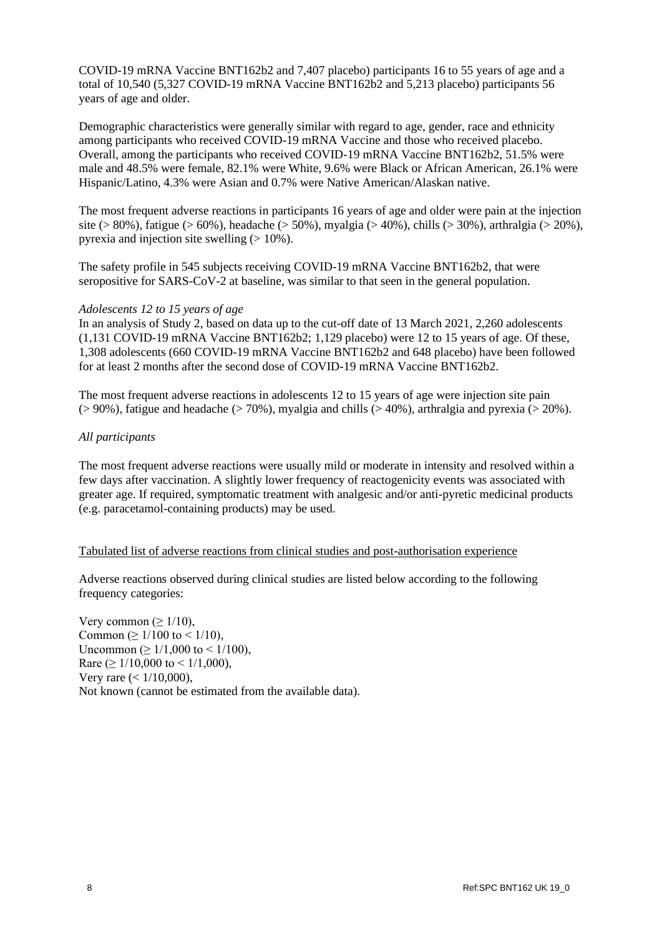COVID-19 mRNA Vaccine BNT162b2 and 7,407 placebo) participants 16 to 55 years of age and a total of 10,540 (5,327 COVID-19 mRNA Vaccine BNT162b2 and 5,213 placebo) participants 56 years of age and older.

Demographic characteristics were generally similar with regard to age, gender, race and ethnicity among participants who received COVID-19 mRNA Vaccine and those who received placebo. Overall, among the participants who received COVID-19 mRNA Vaccine BNT162b2, 51.5% were male and 48.5% were female, 82.1% were White, 9.6% were Black or African American, 26.1% were Hispanic/Latino, 4.3% were Asian and 0.7% were Native American/Alaskan native.

The most frequent adverse reactions in participants 16 years of age and older were pain at the injection site (> 80%), fatigue (> 60%), headache (> 50%), myalgia (> 40%), chills (> 30%), arthralgia (> 20%), pyrexia and injection site swelling  $(>10\%)$ .

The safety profile in 545 subjects receiving COVID-19 mRNA Vaccine BNT162b2, that were seropositive for SARS-CoV-2 at baseline, was similar to that seen in the general population.

#### *Adolescents 12 to 15 years of age*

In an analysis of Study 2, based on data up to the cut-off date of 13 March 2021, 2,260 adolescents (1,131 COVID-19 mRNA Vaccine BNT162b2; 1,129 placebo) were 12 to 15 years of age. Of these, 1,308 adolescents (660 COVID-19 mRNA Vaccine BNT162b2 and 648 placebo) have been followed for at least 2 months after the second dose of COVID-19 mRNA Vaccine BNT162b2.

The most frequent adverse reactions in adolescents 12 to 15 years of age were injection site pain  $(> 90\%)$ , fatigue and headache  $(> 70\%)$ , myalgia and chills  $(> 40\%)$ , arthralgia and pyrexia  $(> 20\%)$ .

#### *All participants*

The most frequent adverse reactions were usually mild or moderate in intensity and resolved within a few days after vaccination. A slightly lower frequency of reactogenicity events was associated with greater age. If required, symptomatic treatment with analgesic and/or anti-pyretic medicinal products (e.g. paracetamol-containing products) may be used.

#### Tabulated list of adverse reactions from clinical studies and post-authorisation experience

Adverse reactions observed during clinical studies are listed below according to the following frequency categories:

Very common ( $\geq 1/10$ ), Common ( $\geq 1/100$  to < 1/10), Uncommon (≥ 1/1,000 to < 1/100), Rare ( $\geq 1/10,000$  to  $\leq 1/1,000$ ), Very rare (< 1/10,000), Not known (cannot be estimated from the available data).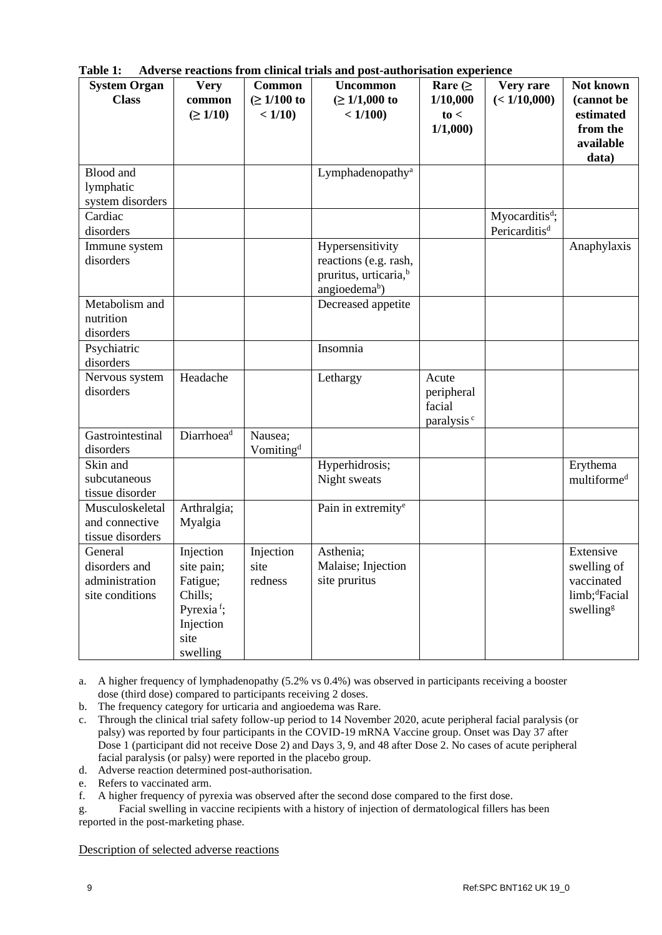| <b>System Organ</b>               | <b>Very</b>            | <b>Common</b>             | and post admortsation experien<br><b>Uncommon</b>          | Rare $($               | Very rare                  | Not known                 |
|-----------------------------------|------------------------|---------------------------|------------------------------------------------------------|------------------------|----------------------------|---------------------------|
| <b>Class</b>                      | common                 | $( \ge 1/100 \text{ to }$ | $( \ge 1/1,000 \text{ to }$                                | 1/10,000               | (< 1/10,000)               | (cannot be                |
|                                   | $( \ge 1/10)$          | < 1/10                    | < 1/100                                                    | to <                   |                            | estimated                 |
|                                   |                        |                           |                                                            | 1/1,000                |                            | from the<br>available     |
|                                   |                        |                           |                                                            |                        |                            | data)                     |
| <b>Blood</b> and                  |                        |                           | Lymphadenopathy <sup>a</sup>                               |                        |                            |                           |
| lymphatic                         |                        |                           |                                                            |                        |                            |                           |
| system disorders                  |                        |                           |                                                            |                        |                            |                           |
| Cardiac                           |                        |                           |                                                            |                        | Myocarditis <sup>d</sup> ; |                           |
| disorders                         |                        |                           |                                                            |                        | Pericarditis <sup>d</sup>  |                           |
| Immune system<br>disorders        |                        |                           | Hypersensitivity                                           |                        |                            | Anaphylaxis               |
|                                   |                        |                           | reactions (e.g. rash,<br>pruritus, urticaria, <sup>b</sup> |                        |                            |                           |
|                                   |                        |                           | angioedema <sup>b</sup> )                                  |                        |                            |                           |
| Metabolism and                    |                        |                           | Decreased appetite                                         |                        |                            |                           |
| nutrition                         |                        |                           |                                                            |                        |                            |                           |
| disorders                         |                        |                           |                                                            |                        |                            |                           |
| Psychiatric                       |                        |                           | Insomnia                                                   |                        |                            |                           |
| disorders                         |                        |                           |                                                            |                        |                            |                           |
| Nervous system                    | Headache               |                           | Lethargy                                                   | Acute                  |                            |                           |
| disorders                         |                        |                           |                                                            | peripheral<br>facial   |                            |                           |
|                                   |                        |                           |                                                            | paralysis <sup>c</sup> |                            |                           |
| Gastrointestinal                  | Diarrhoea <sup>d</sup> | Nausea;                   |                                                            |                        |                            |                           |
| disorders                         |                        | Vomiting <sup>d</sup>     |                                                            |                        |                            |                           |
| Skin and                          |                        |                           | Hyperhidrosis;                                             |                        |                            | Erythema                  |
| subcutaneous                      |                        |                           | Night sweats                                               |                        |                            | multiforme <sup>d</sup>   |
| tissue disorder                   |                        |                           |                                                            |                        |                            |                           |
| Musculoskeletal<br>and connective | Arthralgia;            |                           | Pain in extremity <sup>e</sup>                             |                        |                            |                           |
| tissue disorders                  | Myalgia                |                           |                                                            |                        |                            |                           |
| General                           | Injection              | Injection                 | Asthenia;                                                  |                        |                            | Extensive                 |
| disorders and                     | site pain;             | site                      | Malaise; Injection                                         |                        |                            | swelling of               |
| administration                    | Fatigue;               | redness                   | site pruritus                                              |                        |                            | vaccinated                |
| site conditions                   | Chills;                |                           |                                                            |                        |                            | limb; <sup>d</sup> Facial |
|                                   | Pyrexia <sup>f</sup> ; |                           |                                                            |                        |                            | swelling <sup>g</sup>     |
|                                   | Injection              |                           |                                                            |                        |                            |                           |
|                                   | site                   |                           |                                                            |                        |                            |                           |
|                                   | swelling               |                           |                                                            |                        |                            |                           |

**Table 1: Adverse reactions from clinical trials and post-authorisation experience**

a. A higher frequency of lymphadenopathy (5.2% vs 0.4%) was observed in participants receiving a booster dose (third dose) compared to participants receiving 2 doses.

b. The frequency category for urticaria and angioedema was Rare.

- c. Through the clinical trial safety follow-up period to 14 November 2020, acute peripheral facial paralysis (or palsy) was reported by four participants in the COVID-19 mRNA Vaccine group. Onset was Day 37 after Dose 1 (participant did not receive Dose 2) and Days 3, 9, and 48 after Dose 2. No cases of acute peripheral facial paralysis (or palsy) were reported in the placebo group.
- d. Adverse reaction determined post-authorisation.
- e. Refers to vaccinated arm.

f. A higher frequency of pyrexia was observed after the second dose compared to the first dose.

g. Facial swelling in vaccine recipients with a history of injection of dermatological fillers has been reported in the post-marketing phase.

Description of selected adverse reactions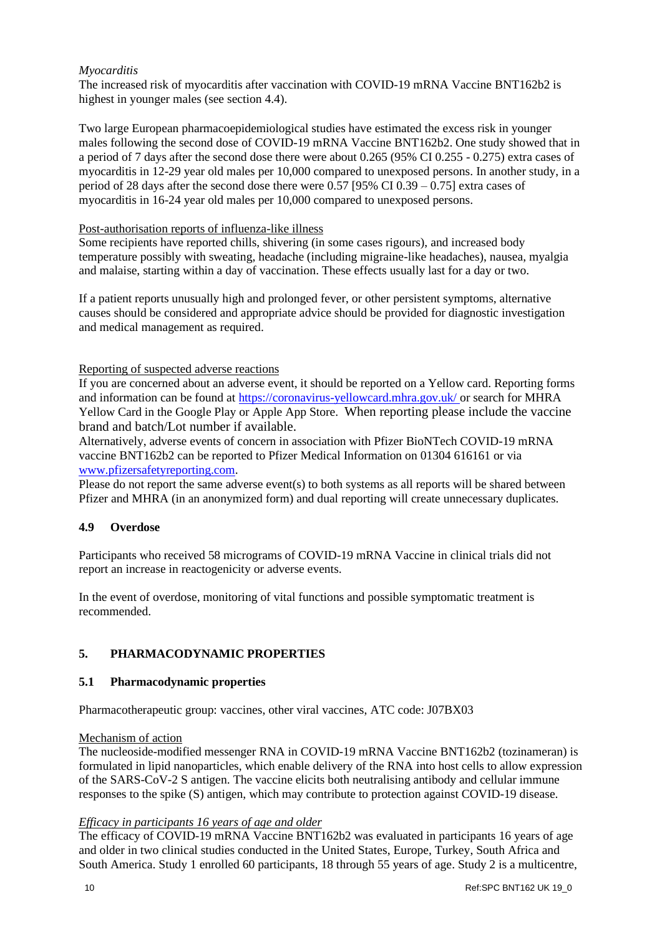# *Myocarditis*

The increased risk of myocarditis after vaccination with COVID-19 mRNA Vaccine BNT162b2 is highest in younger males (see section 4.4).

Two large European pharmacoepidemiological studies have estimated the excess risk in younger males following the second dose of COVID-19 mRNA Vaccine BNT162b2. One study showed that in a period of 7 days after the second dose there were about 0.265 (95% CI 0.255 - 0.275) extra cases of myocarditis in 12-29 year old males per 10,000 compared to unexposed persons. In another study, in a period of 28 days after the second dose there were 0.57 [95% CI 0.39 – 0.75] extra cases of myocarditis in 16-24 year old males per 10,000 compared to unexposed persons.

### Post-authorisation reports of influenza-like illness

Some recipients have reported chills, shivering (in some cases rigours), and increased body temperature possibly with sweating, headache (including migraine-like headaches), nausea, myalgia and malaise, starting within a day of vaccination. These effects usually last for a day or two.

If a patient reports unusually high and prolonged fever, or other persistent symptoms, alternative causes should be considered and appropriate advice should be provided for diagnostic investigation and medical management as required.

## Reporting of suspected adverse reactions

If you are concerned about an adverse event, it should be reported on a Yellow card. Reporting forms and information can be found at [https://coronavirus-yellowcard.mhra.gov.uk/](https://urldefense.proofpoint.com/v2/url?u=https-3A__coronavirus-2Dyellowcard.mhra.gov.uk_&d=DwMFAw&c=UE1eNsedaKncO0Yl_u8bfw&r=w6DflmRjAsYvVgMKqVz9KrnRxozkgmY6dohkPH9v-GQ&m=5fApxr6fCynUxULIWuMMejFo49W4_mwg7n7GUdMrc9o&s=sT1kwHYDeU7PNafh4f6EUzHYXrzBw368J0VW6QtyBJk&e=) or search for MHRA Yellow Card in the Google Play or Apple App Store. When reporting please include the vaccine brand and batch/Lot number if available.

Alternatively, adverse events of concern in association with Pfizer BioNTech COVID-19 mRNA vaccine BNT162b2 can be reported to Pfizer Medical Information on 01304 616161 or via [www.pfizersafetyreporting.com.](http://www.pfizersafetyreporting.com/)

Please do not report the same adverse event(s) to both systems as all reports will be shared between Pfizer and MHRA (in an anonymized form) and dual reporting will create unnecessary duplicates.

## **4.9 Overdose**

Participants who received 58 micrograms of COVID-19 mRNA Vaccine in clinical trials did not report an increase in reactogenicity or adverse events.

In the event of overdose, monitoring of vital functions and possible symptomatic treatment is recommended.

## **5. PHARMACODYNAMIC PROPERTIES**

#### **5.1 Pharmacodynamic properties**

Pharmacotherapeutic group: vaccines, other viral vaccines, ATC code: J07BX03

#### Mechanism of action

The nucleoside-modified messenger RNA in COVID-19 mRNA Vaccine BNT162b2 (tozinameran) is formulated in lipid nanoparticles, which enable delivery of the RNA into host cells to allow expression of the SARS-CoV-2 S antigen. The vaccine elicits both neutralising antibody and cellular immune responses to the spike (S) antigen, which may contribute to protection against COVID-19 disease.

#### *Efficacy in participants 16 years of age and older*

The efficacy of COVID-19 mRNA Vaccine BNT162b2 was evaluated in participants 16 years of age and older in two clinical studies conducted in the United States, Europe, Turkey, South Africa and South America. Study 1 enrolled 60 participants, 18 through 55 years of age. Study 2 is a multicentre,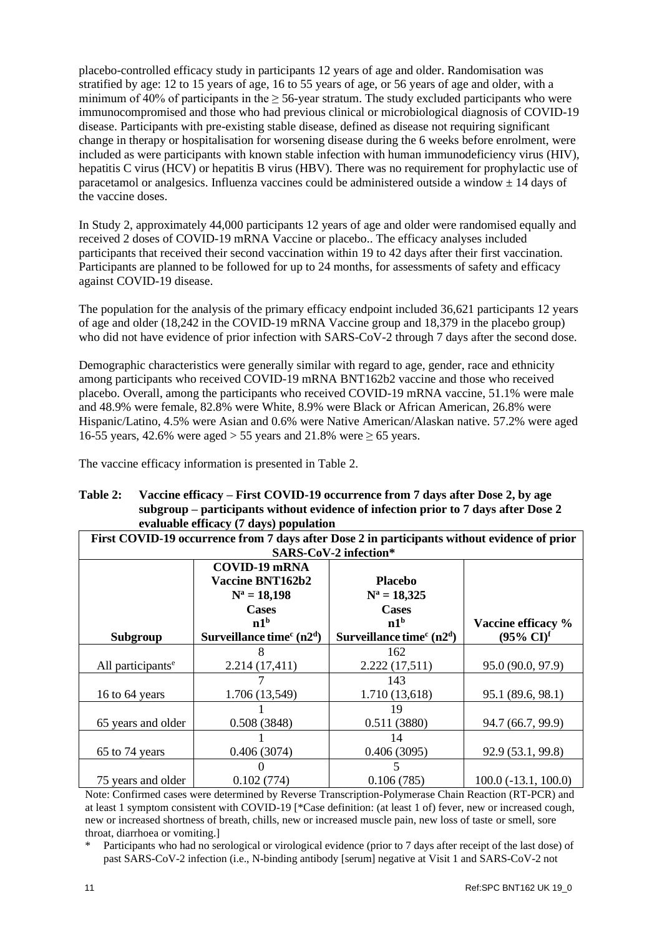placebo-controlled efficacy study in participants 12 years of age and older. Randomisation was stratified by age: 12 to 15 years of age, 16 to 55 years of age, or 56 years of age and older, with a minimum of 40% of participants in the  $\geq$  56-year stratum. The study excluded participants who were immunocompromised and those who had previous clinical or microbiological diagnosis of COVID-19 disease. Participants with pre-existing stable disease, defined as disease not requiring significant change in therapy or hospitalisation for worsening disease during the 6 weeks before enrolment, were included as were participants with known stable infection with human immunodeficiency virus (HIV), hepatitis C virus (HCV) or hepatitis B virus (HBV). There was no requirement for prophylactic use of paracetamol or analgesics. Influenza vaccines could be administered outside a window  $\pm$  14 days of the vaccine doses.

In Study 2, approximately 44,000 participants 12 years of age and older were randomised equally and received 2 doses of COVID-19 mRNA Vaccine or placebo.. The efficacy analyses included participants that received their second vaccination within 19 to 42 days after their first vaccination. Participants are planned to be followed for up to 24 months, for assessments of safety and efficacy against COVID-19 disease.

The population for the analysis of the primary efficacy endpoint included 36,621 participants 12 years of age and older (18,242 in the COVID-19 mRNA Vaccine group and 18,379 in the placebo group) who did not have evidence of prior infection with SARS-CoV-2 through 7 days after the second dose.

Demographic characteristics were generally similar with regard to age, gender, race and ethnicity among participants who received COVID-19 mRNA BNT162b2 vaccine and those who received placebo. Overall, among the participants who received COVID-19 mRNA vaccine, 51.1% were male and 48.9% were female, 82.8% were White, 8.9% were Black or African American, 26.8% were Hispanic/Latino, 4.5% were Asian and 0.6% were Native American/Alaskan native. 57.2% were aged 16-55 years, 42.6% were aged > 55 years and 21.8% were  $\geq$  65 years.

The vaccine efficacy information is presented in Table 2.

#### **Table 2: Vaccine efficacy – First COVID-19 occurrence from 7 days after Dose 2, by age subgroup – participants without evidence of infection prior to 7 days after Dose 2 evaluable efficacy (7 days) population**

| First COVID-19 occurrence from 7 days after Dose 2 in participants without evidence of prior |                            |                            |                                |  |
|----------------------------------------------------------------------------------------------|----------------------------|----------------------------|--------------------------------|--|
| <b>SARS-CoV-2 infection*</b>                                                                 |                            |                            |                                |  |
|                                                                                              | <b>COVID-19 mRNA</b>       |                            |                                |  |
|                                                                                              | Vaccine BNT162b2           | <b>Placebo</b>             |                                |  |
|                                                                                              | $N^a = 18,198$             | $N^a = 18,325$             |                                |  |
|                                                                                              | <b>Cases</b>               | <b>Cases</b>               |                                |  |
|                                                                                              | n1 <sup>b</sup>            | n1 <sup>b</sup>            | Vaccine efficacy %             |  |
| Subgroup                                                                                     | Surveillance time $c(n2d)$ | Surveillance time $c(n2d)$ | $(95\% \text{ CI})^{\text{f}}$ |  |
|                                                                                              |                            | 162                        |                                |  |
| All participants <sup>e</sup>                                                                | 2.214(17,411)              | 2.222(17,511)              | 95.0 (90.0, 97.9)              |  |
|                                                                                              |                            | 143                        |                                |  |
| 16 to 64 years                                                                               | 1.706 (13,549)             | 1.710 (13,618)             | 95.1 (89.6, 98.1)              |  |
|                                                                                              |                            | 19                         |                                |  |
| 65 years and older                                                                           | 0.508(3848)                | 0.511(3880)                | 94.7 (66.7, 99.9)              |  |
|                                                                                              |                            | 14                         |                                |  |
| 65 to 74 years                                                                               | 0.406(3074)                | 0.406(3095)                | 92.9 (53.1, 99.8)              |  |
|                                                                                              |                            | 5                          |                                |  |
| 75 years and older                                                                           | 0.102(774)                 | 0.106(785)                 | $100.0(-13.1, 100.0)$          |  |

Note: Confirmed cases were determined by Reverse Transcription-Polymerase Chain Reaction (RT-PCR) and at least 1 symptom consistent with COVID-19 [\*Case definition: (at least 1 of) fever, new or increased cough, new or increased shortness of breath, chills, new or increased muscle pain, new loss of taste or smell, sore throat, diarrhoea or vomiting.]

Participants who had no serological or virological evidence (prior to 7 days after receipt of the last dose) of past SARS-CoV-2 infection (i.e., N-binding antibody [serum] negative at Visit 1 and SARS-CoV-2 not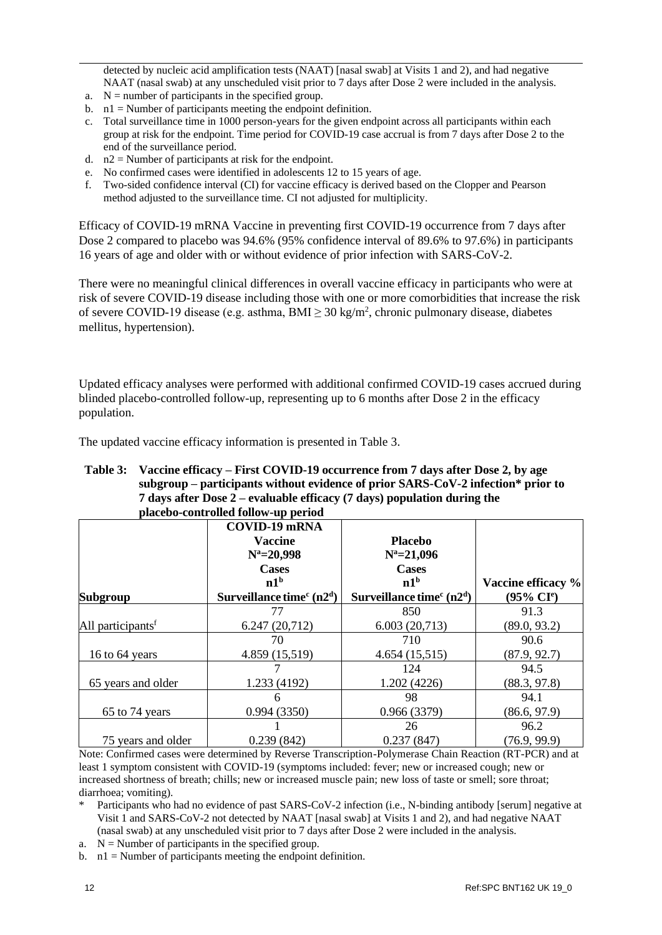detected by nucleic acid amplification tests (NAAT) [nasal swab] at Visits 1 and 2), and had negative NAAT (nasal swab) at any unscheduled visit prior to 7 days after Dose 2 were included in the analysis.

- a.  $N =$  number of participants in the specified group.
- b. n1 = Number of participants meeting the endpoint definition.
- c. Total surveillance time in 1000 person-years for the given endpoint across all participants within each group at risk for the endpoint. Time period for COVID-19 case accrual is from 7 days after Dose 2 to the end of the surveillance period.
- d.  $n2$  = Number of participants at risk for the endpoint.
- e. No confirmed cases were identified in adolescents 12 to 15 years of age.
- f. Two-sided confidence interval (CI) for vaccine efficacy is derived based on the Clopper and Pearson method adjusted to the surveillance time. CI not adjusted for multiplicity.

Efficacy of COVID-19 mRNA Vaccine in preventing first COVID-19 occurrence from 7 days after Dose 2 compared to placebo was 94.6% (95% confidence interval of 89.6% to 97.6%) in participants 16 years of age and older with or without evidence of prior infection with SARS-CoV-2.

There were no meaningful clinical differences in overall vaccine efficacy in participants who were at risk of severe COVID-19 disease including those with one or more comorbidities that increase the risk of severe COVID-19 disease (e.g. asthma,  $BMI \geq 30 \text{ kg/m}^2$ , chronic pulmonary disease, diabetes mellitus, hypertension).

Updated efficacy analyses were performed with additional confirmed COVID-19 cases accrued during blinded placebo-controlled follow-up, representing up to 6 months after Dose 2 in the efficacy population.

The updated vaccine efficacy information is presented in Table 3.

#### **Table 3: Vaccine efficacy – First COVID-19 occurrence from 7 days after Dose 2, by age subgroup – participants without evidence of prior SARS-CoV-2 infection\* prior to 7 days after Dose 2 – evaluable efficacy (7 days) population during the placebo-controlled follow-up period**

|                               | <b>COVID-19 mRNA</b><br><b>Vaccine</b><br>$N^a = 20,998$<br><b>Cases</b><br>n1 <sup>b</sup> | <b>Placebo</b><br>$N^a = 21,096$<br><b>Cases</b><br>n1 <sup>b</sup> | Vaccine efficacy % |
|-------------------------------|---------------------------------------------------------------------------------------------|---------------------------------------------------------------------|--------------------|
| Subgroup                      | Surveillance time $c(n2d)$                                                                  | Surveillance time $c(n2d)$                                          | $(95\% \; Cl^e)$   |
|                               | 77                                                                                          | 850                                                                 | 91.3               |
| All participants <sup>f</sup> | 6.247(20,712)                                                                               | 6.003(20,713)                                                       | (89.0, 93.2)       |
|                               | 70                                                                                          | 710                                                                 | 90.6               |
| 16 to 64 years                | 4.859 (15,519)                                                                              | 4.654(15,515)                                                       | (87.9, 92.7)       |
|                               |                                                                                             | 124                                                                 | 94.5               |
| 65 years and older            | 1.233 (4192)                                                                                | 1.202 (4226)                                                        | (88.3, 97.8)       |
|                               | 6                                                                                           | 98                                                                  | 94.1               |
| 65 to 74 years                | 0.994(3350)                                                                                 | 0.966(3379)                                                         | (86.6, 97.9)       |
|                               |                                                                                             | 26                                                                  | 96.2               |
| 75 years and older            | 0.239(842)                                                                                  | 0.237(847)                                                          | (76.9, 99.9)       |

Note: Confirmed cases were determined by Reverse Transcription-Polymerase Chain Reaction (RT-PCR) and at least 1 symptom consistent with COVID-19 (symptoms included: fever; new or increased cough; new or increased shortness of breath; chills; new or increased muscle pain; new loss of taste or smell; sore throat; diarrhoea; vomiting).

- Participants who had no evidence of past SARS-CoV-2 infection (i.e., N-binding antibody [serum] negative at Visit 1 and SARS-CoV-2 not detected by NAAT [nasal swab] at Visits 1 and 2), and had negative NAAT (nasal swab) at any unscheduled visit prior to 7 days after Dose 2 were included in the analysis.
- a.  $N =$  Number of participants in the specified group.
- b.  $n1 =$  Number of participants meeting the endpoint definition.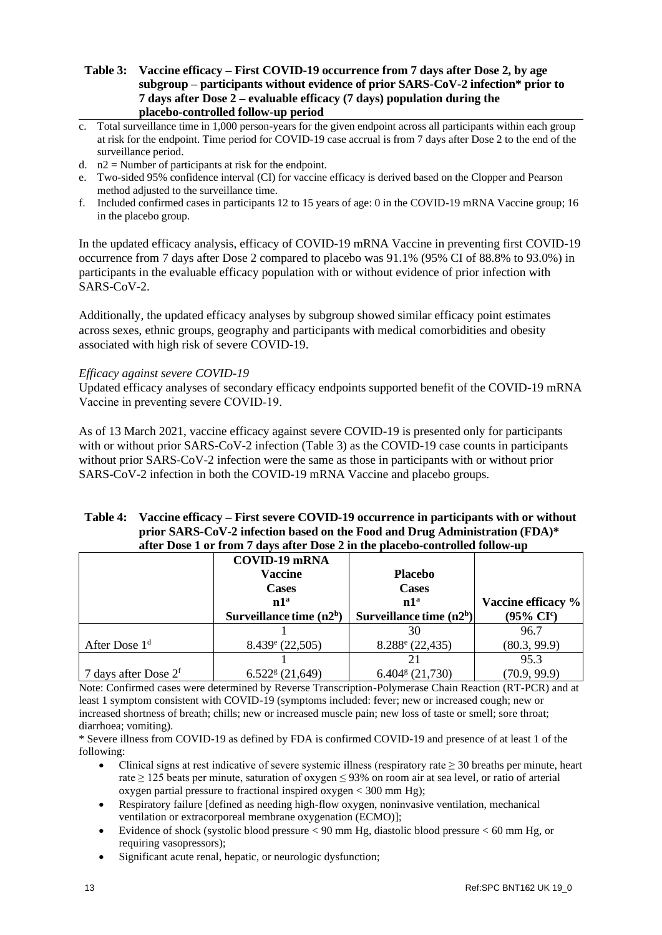### **Table 3: Vaccine efficacy – First COVID-19 occurrence from 7 days after Dose 2, by age subgroup – participants without evidence of prior SARS-CoV-2 infection\* prior to 7 days after Dose 2 – evaluable efficacy (7 days) population during the placebo-controlled follow-up period**

- c. Total surveillance time in 1,000 person-years for the given endpoint across all participants within each group at risk for the endpoint. Time period for COVID-19 case accrual is from 7 days after Dose 2 to the end of the surveillance period.
- d.  $n2$  = Number of participants at risk for the endpoint.
- e. Two-sided 95% confidence interval (CI) for vaccine efficacy is derived based on the Clopper and Pearson method adjusted to the surveillance time.
- f. Included confirmed cases in participants 12 to 15 years of age: 0 in the COVID-19 mRNA Vaccine group; 16 in the placebo group.

In the updated efficacy analysis, efficacy of COVID-19 mRNA Vaccine in preventing first COVID-19 occurrence from 7 days after Dose 2 compared to placebo was 91.1% (95% CI of 88.8% to 93.0%) in participants in the evaluable efficacy population with or without evidence of prior infection with SARS-CoV-2.

Additionally, the updated efficacy analyses by subgroup showed similar efficacy point estimates across sexes, ethnic groups, geography and participants with medical comorbidities and obesity associated with high risk of severe COVID-19.

### *Efficacy against severe COVID-19*

Updated efficacy analyses of secondary efficacy endpoints supported benefit of the COVID-19 mRNA Vaccine in preventing severe COVID-19.

As of 13 March 2021, vaccine efficacy against severe COVID-19 is presented only for participants with or without prior SARS-CoV-2 infection (Table 3) as the COVID-19 case counts in participants without prior SARS-CoV-2 infection were the same as those in participants with or without prior SARS-CoV-2 infection in both the COVID-19 mRNA Vaccine and placebo groups.

### **Table 4: Vaccine efficacy – First severe COVID-19 occurrence in participants with or without prior SARS-CoV-2 infection based on the Food and Drug Administration (FDA)\* after Dose 1 or from 7 days after Dose 2 in the placebo-controlled follow-up**

|                           | <b>COVID-19 mRNA</b>            |                                 |                             |
|---------------------------|---------------------------------|---------------------------------|-----------------------------|
|                           | <b>Vaccine</b>                  | <b>Placebo</b>                  |                             |
|                           | <b>Cases</b>                    | <b>Cases</b>                    |                             |
|                           | n1 <sup>a</sup>                 | n1 <sup>a</sup>                 | Vaccine efficacy %          |
|                           | Surveillance time $(n2b)$       | Surveillance time $(n2b)$       | $(95\% \text{ CI}^{\circ})$ |
|                           |                                 | 30                              | 96.7                        |
| After Dose 1 <sup>d</sup> | $8.439$ <sup>e</sup> (22,505)   | $8.288$ <sup>e</sup> (22,435)   | (80.3, 99.9)                |
|                           |                                 |                                 | 95.3                        |
| 7 days after Dose $2f$    | $6.522$ <sup>g</sup> $(21,649)$ | $6.404$ <sup>g</sup> $(21,730)$ | (70.9, 99.9)                |

Note: Confirmed cases were determined by Reverse Transcription-Polymerase Chain Reaction (RT-PCR) and at least 1 symptom consistent with COVID-19 (symptoms included: fever; new or increased cough; new or increased shortness of breath; chills; new or increased muscle pain; new loss of taste or smell; sore throat; diarrhoea; vomiting).

\* Severe illness from COVID-19 as defined by FDA is confirmed COVID-19 and presence of at least 1 of the following:

- Clinical signs at rest indicative of severe systemic illness (respiratory rate  $\geq$  30 breaths per minute, heart rate ≥ 125 beats per minute, saturation of oxygen ≤ 93% on room air at sea level, or ratio of arterial oxygen partial pressure to fractional inspired oxygen < 300 mm Hg);
- Respiratory failure [defined as needing high-flow oxygen, noninvasive ventilation, mechanical ventilation or extracorporeal membrane oxygenation (ECMO)];
- Evidence of shock (systolic blood pressure < 90 mm Hg, diastolic blood pressure < 60 mm Hg, or requiring vasopressors);
- Significant acute renal, hepatic, or neurologic dysfunction;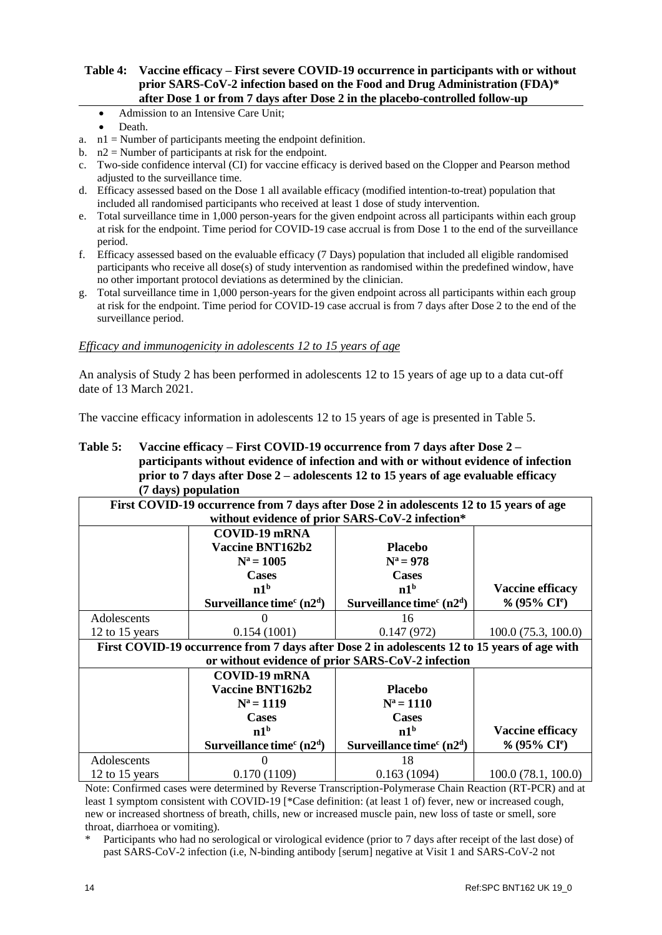#### **Table 4: Vaccine efficacy – First severe COVID-19 occurrence in participants with or without prior SARS-CoV-2 infection based on the Food and Drug Administration (FDA)\* after Dose 1 or from 7 days after Dose 2 in the placebo-controlled follow-up**

- Admission to an Intensive Care Unit;
	- Death.
- a. n1 = Number of participants meeting the endpoint definition.
- b.  $n2 =$  Number of participants at risk for the endpoint.
- c. Two-side confidence interval (CI) for vaccine efficacy is derived based on the Clopper and Pearson method adjusted to the surveillance time.
- d. Efficacy assessed based on the Dose 1 all available efficacy (modified intention-to-treat) population that included all randomised participants who received at least 1 dose of study intervention.
- e. Total surveillance time in 1,000 person-years for the given endpoint across all participants within each group at risk for the endpoint. Time period for COVID-19 case accrual is from Dose 1 to the end of the surveillance period.
- f. Efficacy assessed based on the evaluable efficacy (7 Days) population that included all eligible randomised participants who receive all dose(s) of study intervention as randomised within the predefined window, have no other important protocol deviations as determined by the clinician.
- g. Total surveillance time in 1,000 person-years for the given endpoint across all participants within each group at risk for the endpoint. Time period for COVID-19 case accrual is from 7 days after Dose 2 to the end of the surveillance period.

#### *Efficacy and immunogenicity in adolescents 12 to 15 years of age*

An analysis of Study 2 has been performed in adolescents 12 to 15 years of age up to a data cut-off date of 13 March 2021.

The vaccine efficacy information in adolescents 12 to 15 years of age is presented in Table 5.

### **Table 5: Vaccine efficacy – First COVID-19 occurrence from 7 days after Dose 2 – participants without evidence of infection and with or without evidence of infection prior to 7 days after Dose 2 – adolescents 12 to 15 years of age evaluable efficacy (7 days) population**

| First COVID-19 occurrence from 7 days after Dose 2 in adolescents 12 to 15 years of age      |                            |                                                   |                         |  |
|----------------------------------------------------------------------------------------------|----------------------------|---------------------------------------------------|-------------------------|--|
| without evidence of prior SARS-CoV-2 infection*                                              |                            |                                                   |                         |  |
|                                                                                              | <b>COVID-19 mRNA</b>       |                                                   |                         |  |
|                                                                                              | Vaccine BNT162b2           | <b>Placebo</b>                                    |                         |  |
|                                                                                              | $N^a = 1005$               | $N^a = 978$                                       |                         |  |
|                                                                                              | <b>Cases</b>               | <b>Cases</b>                                      |                         |  |
|                                                                                              | n1 <sup>b</sup>            | n1 <sup>b</sup>                                   | <b>Vaccine efficacy</b> |  |
|                                                                                              | Surveillance time $c(n2d)$ | Surveillance time $c(n2d)$                        | % (95% $CIe$ )          |  |
| Adolescents                                                                                  |                            | 16                                                |                         |  |
| 12 to 15 years                                                                               | 0.154(1001)                | 0.147(972)                                        | 100.0(75.3, 100.0)      |  |
| First COVID-19 occurrence from 7 days after Dose 2 in adolescents 12 to 15 years of age with |                            |                                                   |                         |  |
|                                                                                              |                            | or without evidence of prior SARS-CoV-2 infection |                         |  |
|                                                                                              | <b>COVID-19 mRNA</b>       |                                                   |                         |  |
|                                                                                              | <b>Vaccine BNT162b2</b>    | <b>Placebo</b>                                    |                         |  |
|                                                                                              | $N^a = 1119$               | $N^a = 1110$                                      |                         |  |
|                                                                                              | <b>Cases</b>               | <b>Cases</b>                                      |                         |  |
|                                                                                              | n1 <sup>b</sup>            | n1 <sup>b</sup>                                   | <b>Vaccine efficacy</b> |  |
|                                                                                              | Surveillance time $c(n2d)$ | Surveillance time $c(n2d)$                        | % (95% $CIe$ )          |  |
| Adolescents                                                                                  |                            | 18                                                |                         |  |
| 12 to 15 years                                                                               | 0.170(1109)                | 0.163(1094)                                       | 100.0(78.1, 100.0)      |  |

Note: Confirmed cases were determined by Reverse Transcription-Polymerase Chain Reaction (RT-PCR) and at least 1 symptom consistent with COVID-19 [\*Case definition: (at least 1 of) fever, new or increased cough, new or increased shortness of breath, chills, new or increased muscle pain, new loss of taste or smell, sore throat, diarrhoea or vomiting).

Participants who had no serological or virological evidence (prior to 7 days after receipt of the last dose) of past SARS-CoV-2 infection (i.e, N-binding antibody [serum] negative at Visit 1 and SARS-CoV-2 not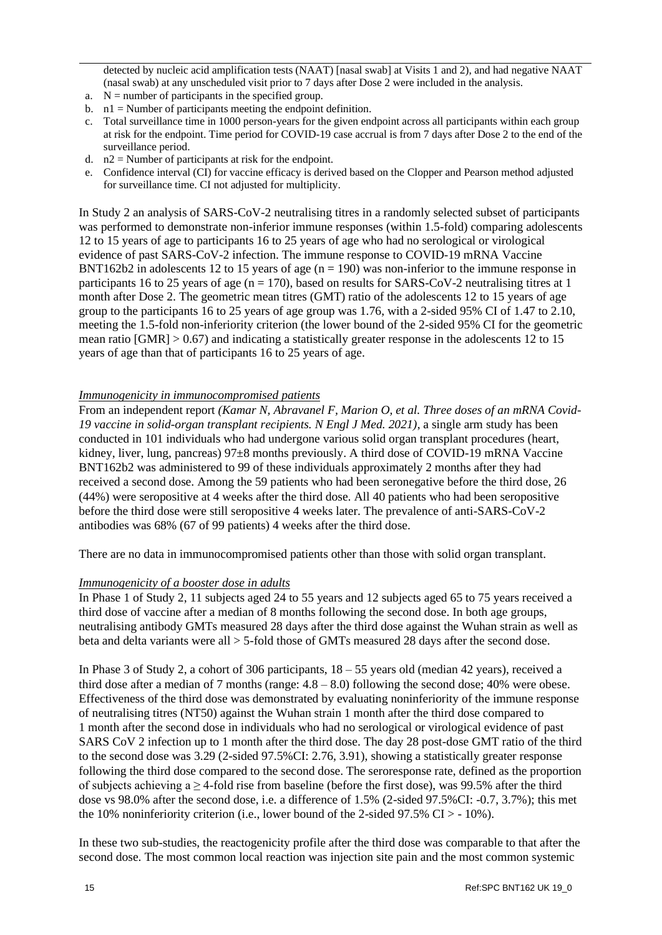detected by nucleic acid amplification tests (NAAT) [nasal swab] at Visits 1 and 2), and had negative NAAT (nasal swab) at any unscheduled visit prior to 7 days after Dose 2 were included in the analysis.

- a.  $N =$  number of participants in the specified group.
- b. n1 = Number of participants meeting the endpoint definition.
- c. Total surveillance time in 1000 person-years for the given endpoint across all participants within each group at risk for the endpoint. Time period for COVID-19 case accrual is from 7 days after Dose 2 to the end of the surveillance period.
- d.  $n2$  = Number of participants at risk for the endpoint.
- e. Confidence interval (CI) for vaccine efficacy is derived based on the Clopper and Pearson method adjusted for surveillance time. CI not adjusted for multiplicity.

In Study 2 an analysis of SARS-CoV-2 neutralising titres in a randomly selected subset of participants was performed to demonstrate non-inferior immune responses (within 1.5-fold) comparing adolescents 12 to 15 years of age to participants 16 to 25 years of age who had no serological or virological evidence of past SARS-CoV-2 infection. The immune response to COVID-19 mRNA Vaccine BNT162b2 in adolescents 12 to 15 years of age  $(n = 190)$  was non-inferior to the immune response in participants 16 to 25 years of age ( $n = 170$ ), based on results for SARS-CoV-2 neutralising titres at 1 month after Dose 2. The geometric mean titres (GMT) ratio of the adolescents 12 to 15 years of age group to the participants 16 to 25 years of age group was 1.76, with a 2-sided 95% CI of 1.47 to 2.10, meeting the 1.5-fold non-inferiority criterion (the lower bound of the 2-sided 95% CI for the geometric mean ratio  $\text{[GMR]} > 0.67$  and indicating a statistically greater response in the adolescents 12 to 15 years of age than that of participants 16 to 25 years of age.

#### *Immunogenicity in immunocompromised patients*

From an independent report *(Kamar N, Abravanel F, Marion O, et al. Three doses of an mRNA Covid-19 vaccine in solid-organ transplant recipients. N Engl J Med. 2021)*, a single arm study has been conducted in 101 individuals who had undergone various solid organ transplant procedures (heart, kidney, liver, lung, pancreas) 97 $\pm$ 8 months previously. A third dose of COVID-19 mRNA Vaccine BNT162b2 was administered to 99 of these individuals approximately 2 months after they had received a second dose. Among the 59 patients who had been seronegative before the third dose, 26 (44%) were seropositive at 4 weeks after the third dose. All 40 patients who had been seropositive before the third dose were still seropositive 4 weeks later. The prevalence of anti-SARS-CoV-2 antibodies was 68% (67 of 99 patients) 4 weeks after the third dose.

There are no data in immunocompromised patients other than those with solid organ transplant.

#### *Immunogenicity of a booster dose in adults*

In Phase 1 of Study 2, 11 subjects aged 24 to 55 years and 12 subjects aged 65 to 75 years received a third dose of vaccine after a median of 8 months following the second dose. In both age groups, neutralising antibody GMTs measured 28 days after the third dose against the Wuhan strain as well as beta and delta variants were all > 5-fold those of GMTs measured 28 days after the second dose.

In Phase 3 of Study 2, a cohort of 306 participants, 18 – 55 years old (median 42 years), received a third dose after a median of 7 months (range:  $4.8 - 8.0$ ) following the second dose;  $40\%$  were obese. Effectiveness of the third dose was demonstrated by evaluating noninferiority of the immune response of neutralising titres (NT50) against the Wuhan strain 1 month after the third dose compared to 1 month after the second dose in individuals who had no serological or virological evidence of past SARS CoV 2 infection up to 1 month after the third dose. The day 28 post-dose GMT ratio of the third to the second dose was 3.29 (2-sided 97.5%CI: 2.76, 3.91), showing a statistically greater response following the third dose compared to the second dose. The seroresponse rate, defined as the proportion of subjects achieving a  $\geq$  4-fold rise from baseline (before the first dose), was 99.5% after the third dose vs 98.0% after the second dose, i.e. a difference of 1.5% (2-sided 97.5%CI: -0.7, 3.7%); this met the 10% noninferiority criterion (i.e., lower bound of the 2-sided 97.5%  $CI > -10\%$ ).

In these two sub-studies, the reactogenicity profile after the third dose was comparable to that after the second dose. The most common local reaction was injection site pain and the most common systemic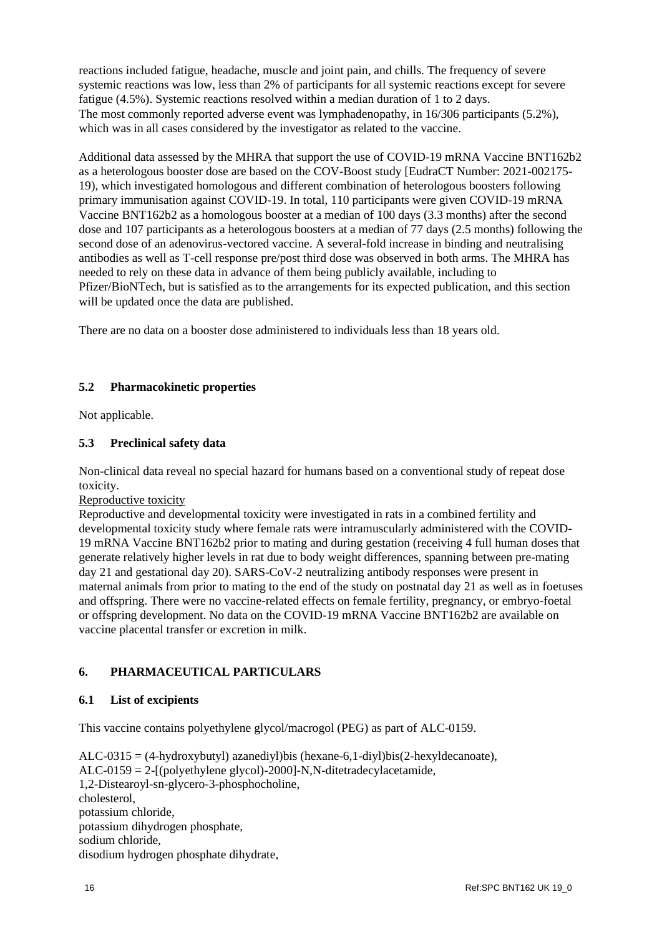reactions included fatigue, headache, muscle and joint pain, and chills. The frequency of severe systemic reactions was low, less than 2% of participants for all systemic reactions except for severe fatigue (4.5%). Systemic reactions resolved within a median duration of 1 to 2 days. The most commonly reported adverse event was lymphadenopathy, in 16/306 participants (5.2%), which was in all cases considered by the investigator as related to the vaccine.

Additional data assessed by the MHRA that support the use of COVID-19 mRNA Vaccine BNT162b2 as a heterologous booster dose are based on the COV-Boost study [EudraCT Number: 2021-002175- 19), which investigated homologous and different combination of heterologous boosters following primary immunisation against COVID-19. In total, 110 participants were given COVID-19 mRNA Vaccine BNT162b2 as a homologous booster at a median of 100 days (3.3 months) after the second dose and 107 participants as a heterologous boosters at a median of 77 days (2.5 months) following the second dose of an adenovirus-vectored vaccine. A several-fold increase in binding and neutralising antibodies as well as T-cell response pre/post third dose was observed in both arms. The MHRA has needed to rely on these data in advance of them being publicly available, including to Pfizer/BioNTech, but is satisfied as to the arrangements for its expected publication, and this section will be updated once the data are published.

There are no data on a booster dose administered to individuals less than 18 years old.

## **5.2 Pharmacokinetic properties**

Not applicable.

### **5.3 Preclinical safety data**

Non-clinical data reveal no special hazard for humans based on a conventional study of repeat dose toxicity.

Reproductive toxicity

Reproductive and developmental toxicity were investigated in rats in a combined fertility and developmental toxicity study where female rats were intramuscularly administered with the COVID-19 mRNA Vaccine BNT162b2 prior to mating and during gestation (receiving 4 full human doses that generate relatively higher levels in rat due to body weight differences, spanning between pre-mating day 21 and gestational day 20). SARS-CoV-2 neutralizing antibody responses were present in maternal animals from prior to mating to the end of the study on postnatal day 21 as well as in foetuses and offspring. There were no vaccine-related effects on female fertility, pregnancy, or embryo-foetal or offspring development. No data on the COVID-19 mRNA Vaccine BNT162b2 are available on vaccine placental transfer or excretion in milk.

## **6. PHARMACEUTICAL PARTICULARS**

#### **6.1 List of excipients**

This vaccine contains polyethylene glycol/macrogol (PEG) as part of ALC-0159.

ALC-0315 = (4-hydroxybutyl) azanediyl)bis (hexane-6,1-diyl)bis(2-hexyldecanoate), ALC-0159 = 2-[(polyethylene glycol)-2000]-N,N-ditetradecylacetamide, 1,2-Distearoyl-sn-glycero-3-phosphocholine, cholesterol, potassium chloride, potassium dihydrogen phosphate, sodium chloride, disodium hydrogen phosphate dihydrate,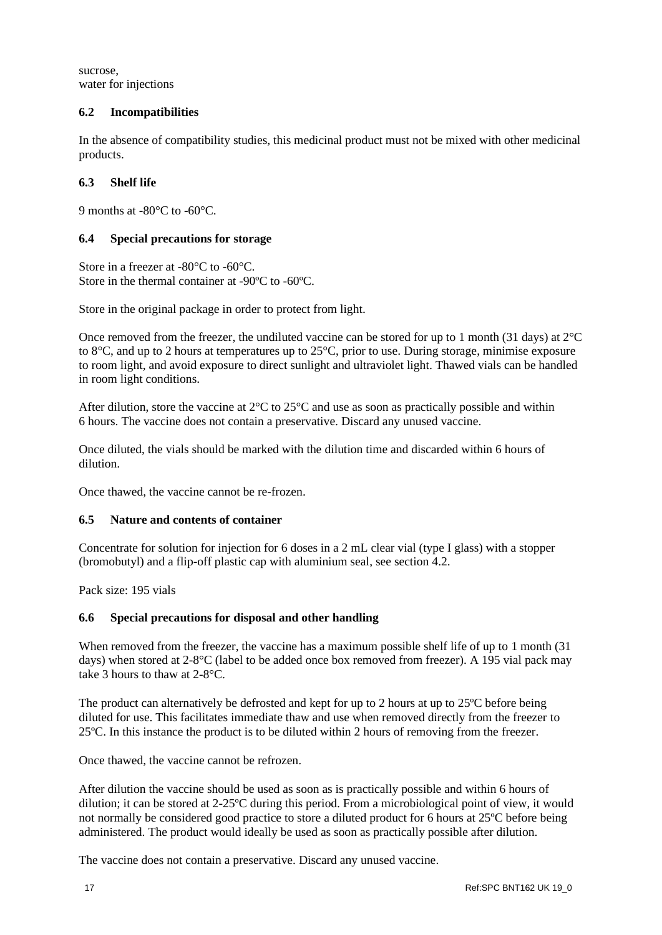sucrose, water for injections

# **6.2 Incompatibilities**

In the absence of compatibility studies, this medicinal product must not be mixed with other medicinal products.

# **6.3 Shelf life**

9 months at -80°C to -60°C.

## **6.4 Special precautions for storage**

Store in a freezer at -80°C to -60°C. Store in the thermal container at -90ºC to -60ºC.

Store in the original package in order to protect from light.

Once removed from the freezer, the undiluted vaccine can be stored for up to 1 month (31 days) at  $2^{\circ}C$ to 8°C, and up to 2 hours at temperatures up to 25°C, prior to use. During storage, minimise exposure to room light, and avoid exposure to direct sunlight and ultraviolet light. Thawed vials can be handled in room light conditions.

After dilution, store the vaccine at  $2^{\circ}$ C to  $25^{\circ}$ C and use as soon as practically possible and within 6 hours. The vaccine does not contain a preservative. Discard any unused vaccine.

Once diluted, the vials should be marked with the dilution time and discarded within 6 hours of dilution.

Once thawed, the vaccine cannot be re-frozen.

## **6.5 Nature and contents of container**

Concentrate for solution for injection for 6 doses in a 2 mL clear vial (type I glass) with a stopper (bromobutyl) and a flip-off plastic cap with aluminium seal, see section 4.2.

Pack size: 195 vials

## **6.6 Special precautions for disposal and other handling**

When removed from the freezer, the vaccine has a maximum possible shelf life of up to 1 month (31) days) when stored at 2-8°C (label to be added once box removed from freezer). A 195 vial pack may take 3 hours to thaw at 2-8°C.

The product can alternatively be defrosted and kept for up to 2 hours at up to 25ºC before being diluted for use. This facilitates immediate thaw and use when removed directly from the freezer to 25ºC. In this instance the product is to be diluted within 2 hours of removing from the freezer.

Once thawed, the vaccine cannot be refrozen.

After dilution the vaccine should be used as soon as is practically possible and within 6 hours of dilution; it can be stored at 2-25ºC during this period. From a microbiological point of view, it would not normally be considered good practice to store a diluted product for 6 hours at 25ºC before being administered. The product would ideally be used as soon as practically possible after dilution.

The vaccine does not contain a preservative. Discard any unused vaccine.